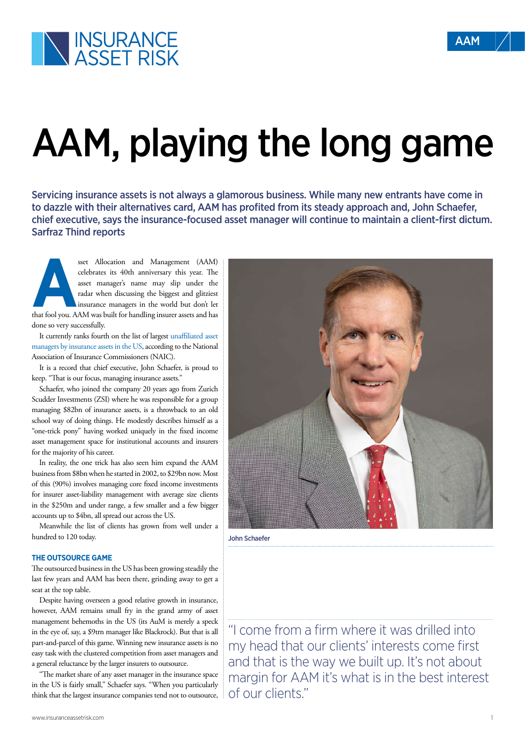## AAM, playing the long game

Servicing insurance assets is not always a glamorous business. While many new entrants have come in to dazzle with their alternatives card, AAM has profited from its steady approach and, John Schaefer, chief executive, says the insurance-focused asset manager will continue to maintain a client-first dictum. Sarfraz Thind reports

set Allocation and Management (AAM) celebrates its 40th anniversary this year. The asset manager's name may slip under the radar when discussing the biggest and glitziest insurance managers in the world but don't let that celebrates its 40th anniversary this year. The asset manager's name may slip under the radar when discussing the biggest and glitziest insurance managers in the world but don't let done so very successfully.

It currently ranks fourth on the list of largest [unaffiliated asset](https://www.insuranceassetrisk.com/content/analysis/the-us-outsourcing-race.html) [managers by insurance assets in the US,](https://www.insuranceassetrisk.com/content/analysis/the-us-outsourcing-race.html) according to the National Association of Insurance Commissioners (NAIC).

It is a record that chief executive, John Schaefer, is proud to keep. "That is our focus, managing insurance assets."

Schaefer, who joined the company 20 years ago from Zurich Scudder Investments (ZSI) where he was responsible for a group managing \$82bn of insurance assets, is a throwback to an old school way of doing things. He modestly describes himself as a "one-trick pony" having worked uniquely in the fixed income asset management space for institutional accounts and insurers for the majority of his career.

In reality, the one trick has also seen him expand the AAM business from \$8bn when he started in 2002, to \$29bn now. Most of this (90%) involves managing core fixed income investments for insurer asset-liability management with average size clients in the \$250m and under range, a few smaller and a few bigger accounts up to \$4bn, all spread out across the US.

Meanwhile the list of clients has grown from well under a hundred to 120 today.

## **THE OUTSOURCE GAME**

The outsourced business in the US has been growing steadily the last few years and AAM has been there, grinding away to get a seat at the top table.

Despite having overseen a good relative growth in insurance, however, AAM remains small fry in the grand army of asset management behemoths in the US (its AuM is merely a speck in the eye of, say, a \$9trn manager like Blackrock). But that is all part-and-parcel of this game. Winning new insurance assets is no easy task with the clustered competition from asset managers and a general reluctance by the larger insurers to outsource.

"The market share of any asset manager in the insurance space in the US is fairly small," Schaefer says. "When you particularly think that the largest insurance companies tend not to outsource,



John Schaefer

"I come from a firm where it was drilled into my head that our clients' interests come first and that is the way we built up. It's not about margin for AAM it's what is in the best interest of our clients."

AAM